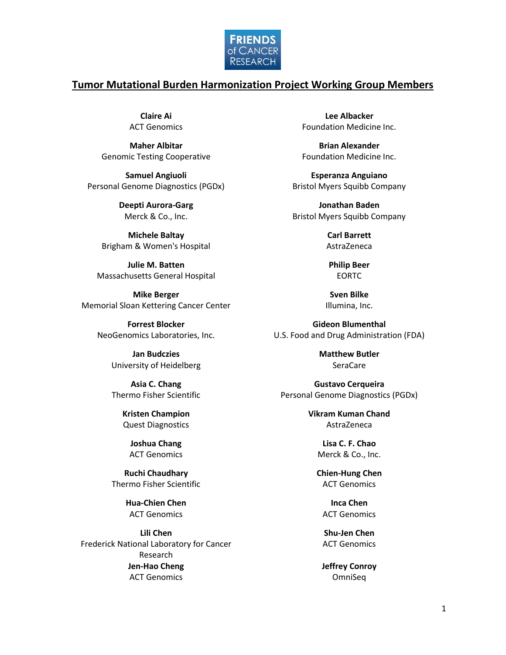

## **Tumor Mutational Burden Harmonization Project Working Group Members**

**Claire Ai** ACT Genomics

**Maher Albitar** Genomic Testing Cooperative

**Samuel Angiuoli** Personal Genome Diagnostics (PGDx)

> **Deepti Aurora-Garg** Merck & Co., Inc.

**Michele Baltay** Brigham & Women's Hospital

**Julie M. Batten** Massachusetts General Hospital

**Mike Berger** Memorial Sloan Kettering Cancer Center

> **Forrest Blocker** NeoGenomics Laboratories, Inc.

> > **Jan Budczies** University of Heidelberg

> > **Asia C. Chang** Thermo Fisher Scientific

> > > **Kristen Champion** Quest Diagnostics

**Joshua Chang** ACT Genomics

**Ruchi Chaudhary** Thermo Fisher Scientific

> **Hua-Chien Chen** ACT Genomics

**Lili Chen** Frederick National Laboratory for Cancer Research **Jen-Hao Cheng** ACT Genomics

**Lee Albacker** Foundation Medicine Inc.

**Brian Alexander** Foundation Medicine Inc.

**Esperanza Anguiano** Bristol Myers Squibb Company

**Jonathan Baden** Bristol Myers Squibb Company

> **Carl Barrett** AstraZeneca

**Philip Beer** EORTC

**Sven Bilke** Illumina, Inc.

**Gideon Blumenthal** U.S. Food and Drug Administration (FDA)

> **Matthew Butler** SeraCare

**Gustavo Cerqueira** Personal Genome Diagnostics (PGDx)

> **Vikram Kuman Chand** AstraZeneca

> > **Lisa C. F. Chao** Merck & Co., Inc.

**Chien-Hung Chen** ACT Genomics

**Inca Chen** ACT Genomics

**Shu-Jen Chen** ACT Genomics

**Jeffrey Conroy** OmniSeq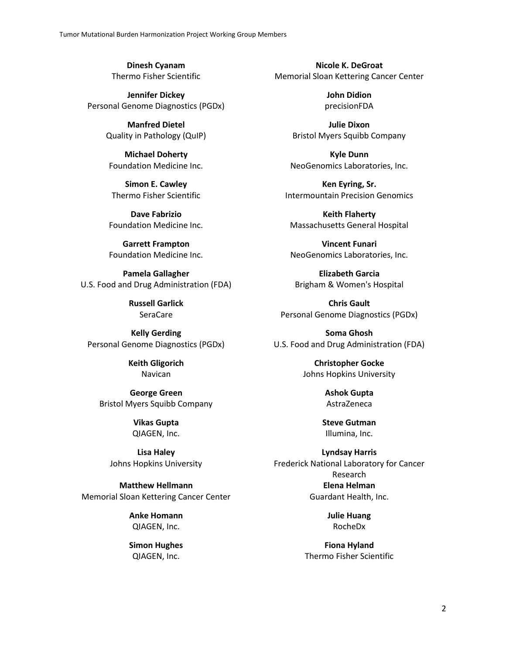**Dinesh Cyanam** Thermo Fisher Scientific

**Jennifer Dickey** Personal Genome Diagnostics (PGDx)

> **Manfred Dietel** Quality in Pathology (QuIP)

**Michael Doherty** Foundation Medicine Inc.

**Simon E. Cawley** Thermo Fisher Scientific

**Dave Fabrizio** Foundation Medicine Inc.

**Garrett Frampton** Foundation Medicine Inc.

**Pamela Gallagher** U.S. Food and Drug Administration (FDA)

> **Russell Garlick** SeraCare

**Kelly Gerding** Personal Genome Diagnostics (PGDx)

> **Keith Gligorich** Navican

**George Green** Bristol Myers Squibb Company

> **Vikas Gupta** QIAGEN, Inc.

**Lisa Haley** Johns Hopkins University

**Matthew Hellmann** Memorial Sloan Kettering Cancer Center

> **Anke Homann** QIAGEN, Inc.

> **Simon Hughes** QIAGEN, Inc.

**Nicole K. DeGroat** Memorial Sloan Kettering Cancer Center

> **John Didion** precisionFDA

**Julie Dixon** Bristol Myers Squibb Company

**Kyle Dunn** NeoGenomics Laboratories, Inc.

**Ken Eyring, Sr.** Intermountain Precision Genomics

**Keith Flaherty** Massachusetts General Hospital

**Vincent Funari** NeoGenomics Laboratories, Inc.

**Elizabeth Garcia** Brigham & Women's Hospital

**Chris Gault** Personal Genome Diagnostics (PGDx)

**Soma Ghosh** U.S. Food and Drug Administration (FDA)

> **Christopher Gocke** Johns Hopkins University

> > **Ashok Gupta** AstraZeneca

**Steve Gutman** Illumina, Inc.

**Lyndsay Harris** Frederick National Laboratory for Cancer Research **Elena Helman** Guardant Health, Inc.

> **Julie Huang** RocheDx

**Fiona Hyland** Thermo Fisher Scientific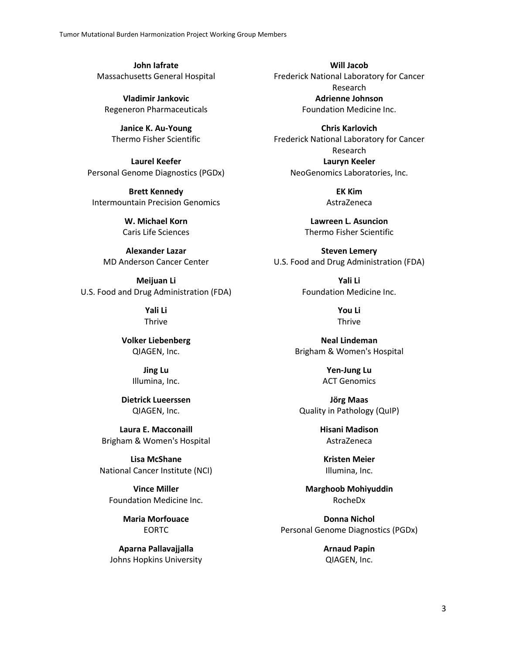**John Iafrate** Massachusetts General Hospital

**Vladimir Jankovic** Regeneron Pharmaceuticals

**Janice K. Au-Young** Thermo Fisher Scientific

**Laurel Keefer** Personal Genome Diagnostics (PGDx)

**Brett Kennedy** Intermountain Precision Genomics

> **W. Michael Korn** Caris Life Sciences

**Alexander Lazar** MD Anderson Cancer Center

**Meijuan Li** U.S. Food and Drug Administration (FDA)

> **Yali Li** Thrive

**Volker Liebenberg** QIAGEN, Inc.

> **Jing Lu** Illumina, Inc.

**Dietrick Lueerssen** QIAGEN, Inc.

**Laura E. Macconaill** Brigham & Women's Hospital

**Lisa McShane** National Cancer Institute (NCI)

**Vince Miller** Foundation Medicine Inc.

> **Maria Morfouace** EORTC

**Aparna Pallavajjalla** Johns Hopkins University

**Will Jacob** Frederick National Laboratory for Cancer Research **Adrienne Johnson** Foundation Medicine Inc.

**Chris Karlovich** Frederick National Laboratory for Cancer Research **Lauryn Keeler** NeoGenomics Laboratories, Inc.

> **EK Kim** AstraZeneca

**Lawreen L. Asuncion** Thermo Fisher Scientific

**Steven Lemery** U.S. Food and Drug Administration (FDA)

> **Yali Li** Foundation Medicine Inc.

> > **You Li** Thrive

**Neal Lindeman** Brigham & Women's Hospital

> **Yen-Jung Lu** ACT Genomics

**Jörg Maas** Quality in Pathology (QuIP)

> **Hisani Madison** AstraZeneca

**Kristen Meier** Illumina, Inc.

**Marghoob Mohiyuddin** RocheDx

**Donna Nichol** Personal Genome Diagnostics (PGDx)

> **Arnaud Papin** QIAGEN, Inc.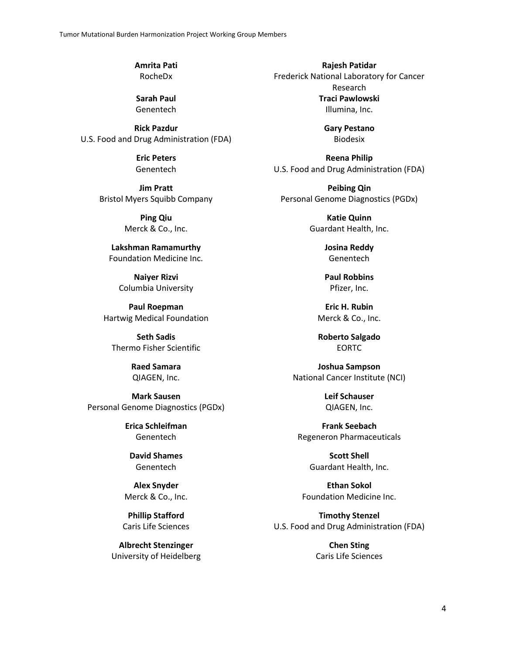**Amrita Pati** RocheDx

**Sarah Paul** Genentech

**Rick Pazdur** U.S. Food and Drug Administration (FDA)

> **Eric Peters** Genentech

**Jim Pratt** Bristol Myers Squibb Company

> **Ping Qiu** Merck & Co., Inc.

**Lakshman Ramamurthy** Foundation Medicine Inc.

**Naiyer Rizvi** Columbia University

**Paul Roepman** Hartwig Medical Foundation

**Seth Sadis** Thermo Fisher Scientific

> **Raed Samara** QIAGEN, Inc.

**Mark Sausen** Personal Genome Diagnostics (PGDx)

> **Erica Schleifman** Genentech

**David Shames** Genentech

**Alex Snyder** Merck & Co., Inc.

**Phillip Stafford** Caris Life Sciences

**Albrecht Stenzinger** University of Heidelberg

**Rajesh Patidar** Frederick National Laboratory for Cancer Research **Traci Pawlowski** Illumina, Inc.

> **Gary Pestano** Biodesix

**Reena Philip** U.S. Food and Drug Administration (FDA)

**Peibing Qin** Personal Genome Diagnostics (PGDx)

> **Katie Quinn** Guardant Health, Inc.

> > **Josina Reddy** Genentech

> > **Paul Robbins** Pfizer, Inc.

**Eric H. Rubin** Merck & Co., Inc.

**Roberto Salgado** EORTC

**Joshua Sampson** National Cancer Institute (NCI)

> **Leif Schauser** QIAGEN, Inc.

**Frank Seebach** Regeneron Pharmaceuticals

> **Scott Shell** Guardant Health, Inc.

**Ethan Sokol** Foundation Medicine Inc.

**Timothy Stenzel** U.S. Food and Drug Administration (FDA)

> **Chen Sting** Caris Life Sciences